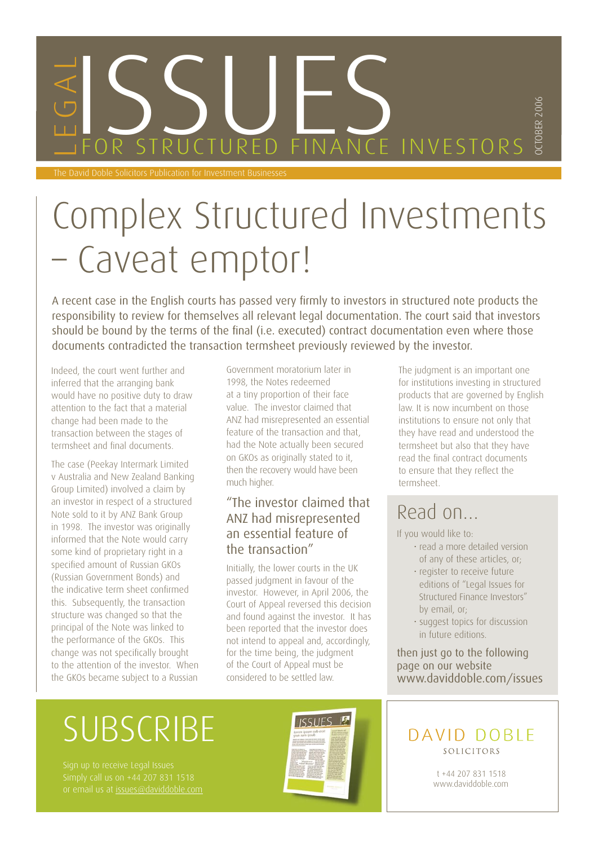# SISSUES EINANCE INVESTORS LEGAL

The David Doble Solicitors Publication for Investment Busines

## Complex Structured Investments – Caveat emptor!

A recent case in the English courts has passed very firmly to investors in structured note products the responsibility to review for themselves all relevant legal documentation. The court said that investors should be bound by the terms of the final (i.e. executed) contract documentation even where those documents contradicted the transaction termsheet previously reviewed by the investor.

Indeed, the court went further and inferred that the arranging bank would have no positive duty to draw attention to the fact that a material change had been made to the transaction between the stages of termsheet and final documents.

The case (Peekay Intermark Limited v Australia and New Zealand Banking Group Limited) involved a claim by an investor in respect of a structured Note sold to it by ANZ Bank Group in 1998. The investor was originally informed that the Note would carry some kind of proprietary right in a specified amount of Russian GKOs (Russian Government Bonds) and the indicative term sheet confirmed this. Subsequently, the transaction structure was changed so that the principal of the Note was linked to the performance of the GKOs. This change was not specifically brought to the attention of the investor. When the GKOs became subject to a Russian

Government moratorium later in 1998, the Notes redeemed at a tiny proportion of their face value. The investor claimed that ANZ had misrepresented an essential feature of the transaction and that, had the Note actually been secured on GKOs as originally stated to it, then the recovery would have been much higher.

### "The investor claimed that ANZ had misrepresented an essential feature of the transaction"

Initially, the lower courts in the UK passed judgment in favour of the investor. However, in April 2006, the Court of Appeal reversed this decision and found against the investor. It has been reported that the investor does not intend to appeal and, accordingly, for the time being, the judgment of the Court of Appeal must be considered to be settled law.

The judgment is an important one for institutions investing in structured products that are governed by English law. It is now incumbent on those institutions to ensure not only that they have read and understood the termsheet but also that they have read the final contract documents to ensure that they reflect the termsheet.

OCTOBER 2006

CTOBER 2006

## Read on…

If you would like to:

- read a more detailed version of any of these articles, or;
- register to receive future editions of "Legal Issues for Structured Finance Investors" by email, or;
- suggest topics for discussion in future editions.

then just go to the following page on our website www.daviddoble.com/issues

## **SUBSCRIBE**



DAVID DOBLE SOLICITORS

> t +44 207 831 1518 www.daviddoble.com